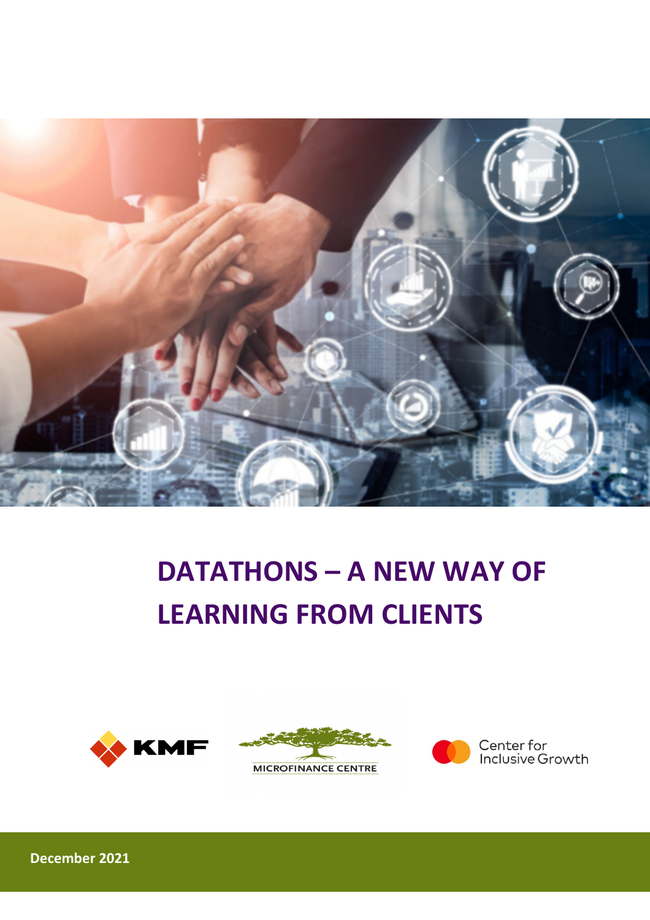

# DATATHONS – A NEW WAY OF LEARNING FROM CLIENTS







December 2021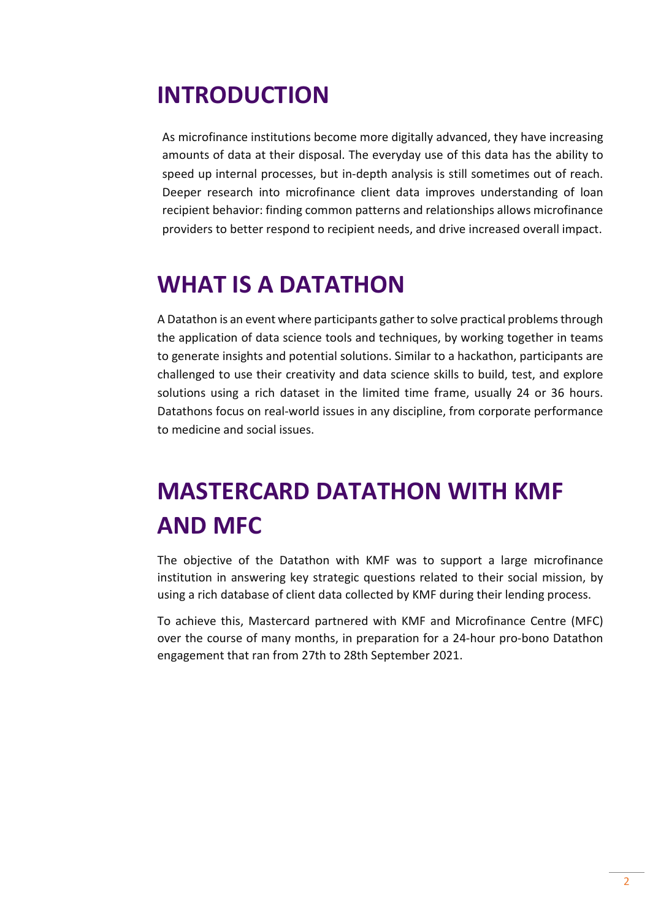# INTRODUCTION

As microfinance institutions become more digitally advanced, they have increasing amounts of data at their disposal. The everyday use of this data has the ability to speed up internal processes, but in-depth analysis is still sometimes out of reach. Deeper research into microfinance client data improves understanding of loan recipient behavior: finding common patterns and relationships allows microfinance providers to better respond to recipient needs, and drive increased overall impact.

# WHAT IS A DATATHON

A Datathon is an event where participants gather to solve practical problems through the application of data science tools and techniques, by working together in teams to generate insights and potential solutions. Similar to a hackathon, participants are challenged to use their creativity and data science skills to build, test, and explore solutions using a rich dataset in the limited time frame, usually 24 or 36 hours. Datathons focus on real-world issues in any discipline, from corporate performance to medicine and social issues.

# MASTERCARD DATATHON WITH KMF AND MFC

The objective of the Datathon with KMF was to support a large microfinance institution in answering key strategic questions related to their social mission, by using a rich database of client data collected by KMF during their lending process.

To achieve this, Mastercard partnered with KMF and Microfinance Centre (MFC) over the course of many months, in preparation for a 24-hour pro-bono Datathon engagement that ran from 27th to 28th September 2021.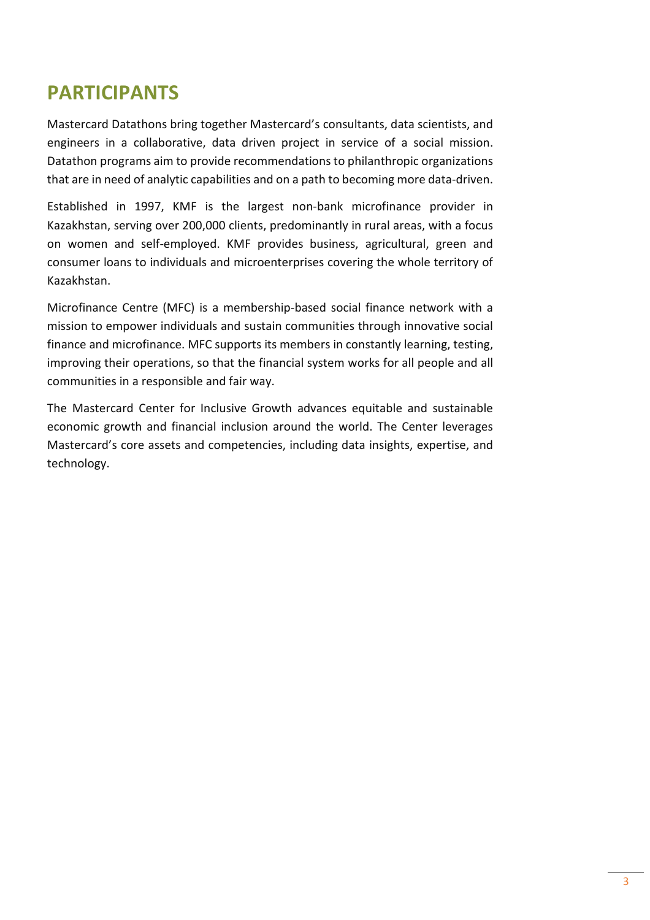## PARTICIPANTS

Mastercard Datathons bring together Mastercard's consultants, data scientists, and engineers in a collaborative, data driven project in service of a social mission. Datathon programs aim to provide recommendations to philanthropic organizations that are in need of analytic capabilities and on a path to becoming more data-driven.

Established in 1997, KMF is the largest non-bank microfinance provider in Kazakhstan, serving over 200,000 clients, predominantly in rural areas, with a focus on women and self-employed. KMF provides business, agricultural, green and consumer loans to individuals and microenterprises covering the whole territory of Kazakhstan.

Microfinance Centre (MFC) is a membership-based social finance network with a mission to empower individuals and sustain communities through innovative social finance and microfinance. MFC supports its members in constantly learning, testing, improving their operations, so that the financial system works for all people and all communities in a responsible and fair way.

The Mastercard Center for Inclusive Growth advances equitable and sustainable economic growth and financial inclusion around the world. The Center leverages Mastercard's core assets and competencies, including data insights, expertise, and technology.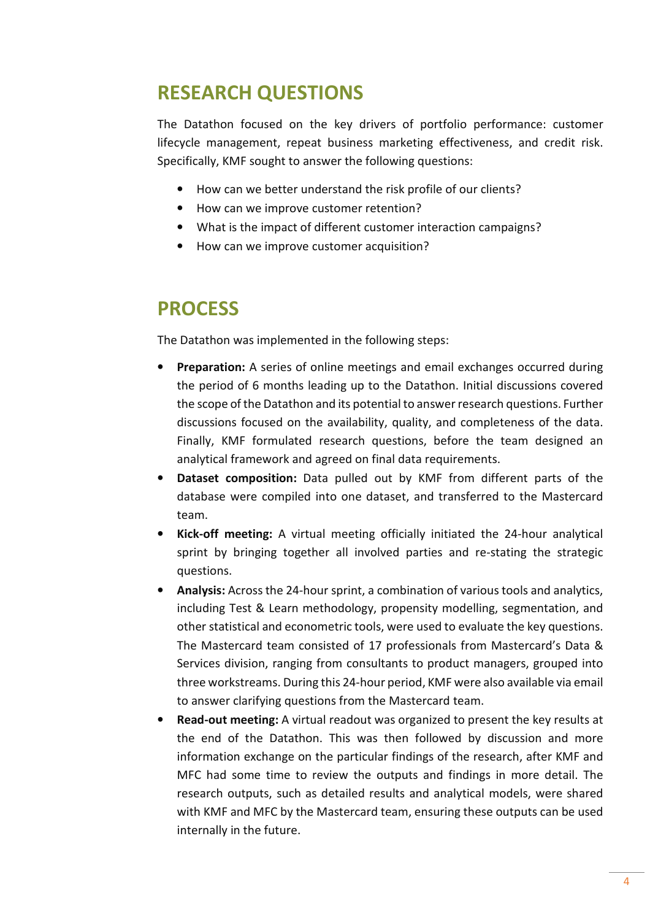## RESEARCH QUESTIONS

The Datathon focused on the key drivers of portfolio performance: customer lifecycle management, repeat business marketing effectiveness, and credit risk. Specifically, KMF sought to answer the following questions:

- How can we better understand the risk profile of our clients?
- How can we improve customer retention?
- What is the impact of different customer interaction campaigns?
- How can we improve customer acquisition?

### PROCESS

The Datathon was implemented in the following steps:

- Preparation: A series of online meetings and email exchanges occurred during the period of 6 months leading up to the Datathon. Initial discussions covered the scope of the Datathon and its potential to answer research questions. Further discussions focused on the availability, quality, and completeness of the data. Finally, KMF formulated research questions, before the team designed an analytical framework and agreed on final data requirements.
- **Dataset composition:** Data pulled out by KMF from different parts of the database were compiled into one dataset, and transferred to the Mastercard team.
- Kick-off meeting: A virtual meeting officially initiated the 24-hour analytical sprint by bringing together all involved parties and re-stating the strategic questions.
- Analysis: Across the 24-hour sprint, a combination of various tools and analytics, including Test & Learn methodology, propensity modelling, segmentation, and other statistical and econometric tools, were used to evaluate the key questions. The Mastercard team consisted of 17 professionals from Mastercard's Data & Services division, ranging from consultants to product managers, grouped into three workstreams. During this 24-hour period, KMF were also available via email to answer clarifying questions from the Mastercard team.
- Read-out meeting: A virtual readout was organized to present the key results at the end of the Datathon. This was then followed by discussion and more information exchange on the particular findings of the research, after KMF and MFC had some time to review the outputs and findings in more detail. The research outputs, such as detailed results and analytical models, were shared with KMF and MFC by the Mastercard team, ensuring these outputs can be used internally in the future.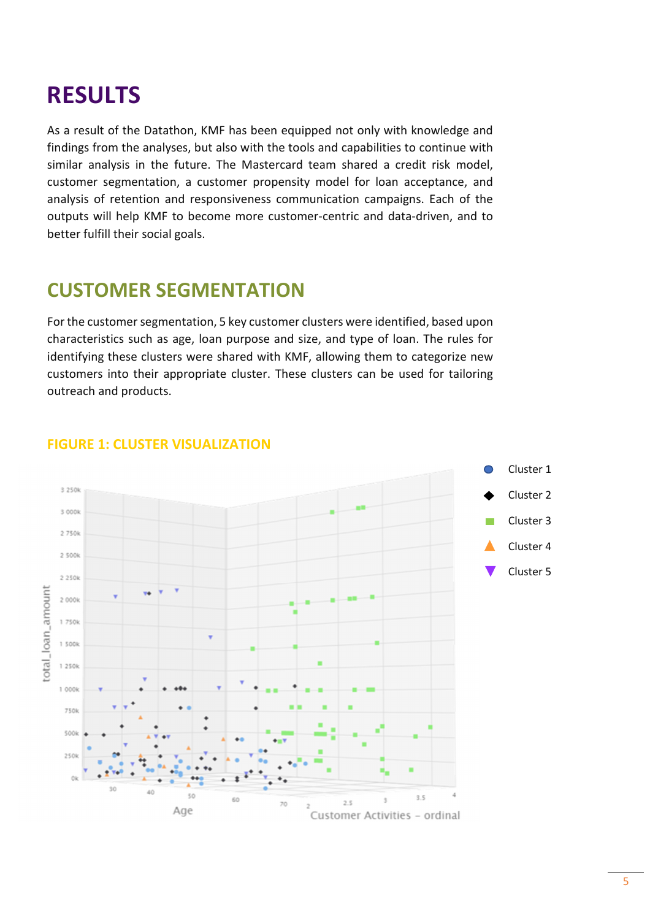## RESULTS

As a result of the Datathon, KMF has been equipped not only with knowledge and findings from the analyses, but also with the tools and capabilities to continue with similar analysis in the future. The Mastercard team shared a credit risk model, customer segmentation, a customer propensity model for loan acceptance, and analysis of retention and responsiveness communication campaigns. Each of the outputs will help KMF to become more customer-centric and data-driven, and to better fulfill their social goals.

## CUSTOMER SEGMENTATION

For the customer segmentation, 5 key customer clusters were identified, based upon characteristics such as age, loan purpose and size, and type of loan. The rules for identifying these clusters were shared with KMF, allowing them to categorize new customers into their appropriate cluster. These clusters can be used for tailoring outreach and products.



#### FIGURE 1: CLUSTER VISUALIZATION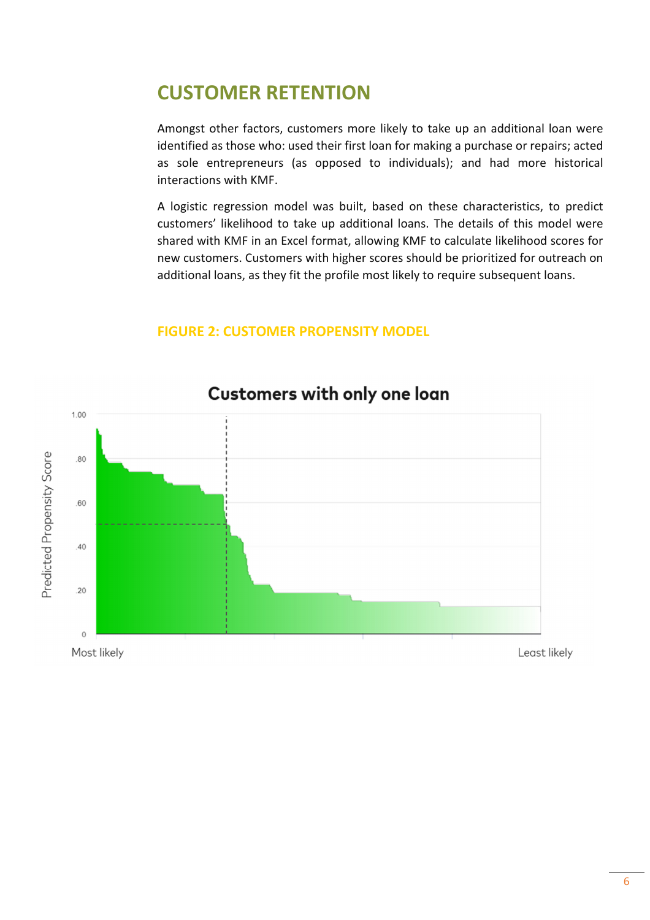### CUSTOMER RETENTION

Amongst other factors, customers more likely to take up an additional loan were identified as those who: used their first loan for making a purchase or repairs; acted as sole entrepreneurs (as opposed to individuals); and had more historical interactions with KMF.

A logistic regression model was built, based on these characteristics, to predict customers' likelihood to take up additional loans. The details of this model were shared with KMF in an Excel format, allowing KMF to calculate likelihood scores for new customers. Customers with higher scores should be prioritized for outreach on additional loans, as they fit the profile most likely to require subsequent loans.

#### FIGURE 2: CUSTOMER PROPENSITY MODEL



#### Customers with only one loan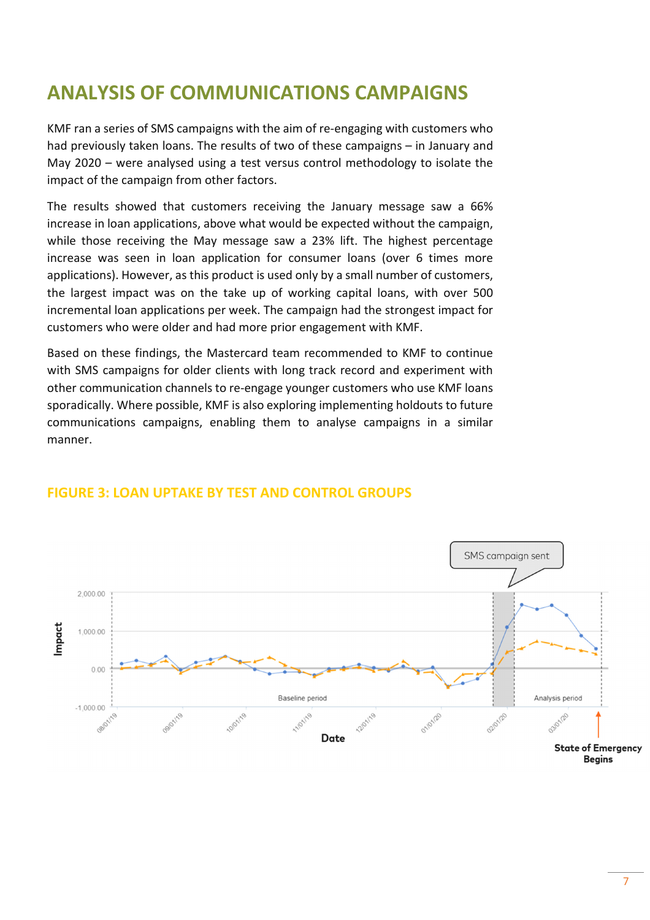## ANALYSIS OF COMMUNICATIONS CAMPAIGNS

KMF ran a series of SMS campaigns with the aim of re-engaging with customers who had previously taken loans. The results of two of these campaigns – in January and May 2020 – were analysed using a test versus control methodology to isolate the impact of the campaign from other factors.

The results showed that customers receiving the January message saw a 66% increase in loan applications, above what would be expected without the campaign, while those receiving the May message saw a 23% lift. The highest percentage increase was seen in loan application for consumer loans (over 6 times more applications). However, as this product is used only by a small number of customers, the largest impact was on the take up of working capital loans, with over 500 incremental loan applications per week. The campaign had the strongest impact for customers who were older and had more prior engagement with KMF.

Based on these findings, the Mastercard team recommended to KMF to continue with SMS campaigns for older clients with long track record and experiment with other communication channels to re-engage younger customers who use KMF loans sporadically. Where possible, KMF is also exploring implementing holdouts to future communications campaigns, enabling them to analyse campaigns in a similar manner.



#### FIGURE 3: LOAN UPTAKE BY TEST AND CONTROL GROUPS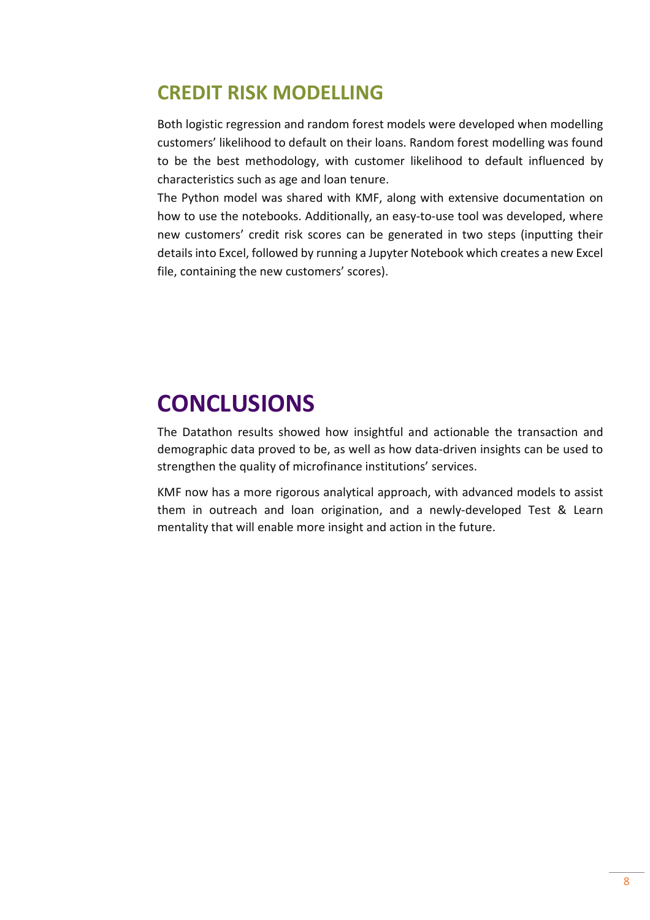## CREDIT RISK MODELLING

Both logistic regression and random forest models were developed when modelling customers' likelihood to default on their loans. Random forest modelling was found to be the best methodology, with customer likelihood to default influenced by characteristics such as age and loan tenure.

The Python model was shared with KMF, along with extensive documentation on how to use the notebooks. Additionally, an easy-to-use tool was developed, where new customers' credit risk scores can be generated in two steps (inputting their details into Excel, followed by running a Jupyter Notebook which creates a new Excel file, containing the new customers' scores).

## **CONCLUSIONS**

The Datathon results showed how insightful and actionable the transaction and demographic data proved to be, as well as how data-driven insights can be used to strengthen the quality of microfinance institutions' services.

KMF now has a more rigorous analytical approach, with advanced models to assist them in outreach and loan origination, and a newly-developed Test & Learn mentality that will enable more insight and action in the future.